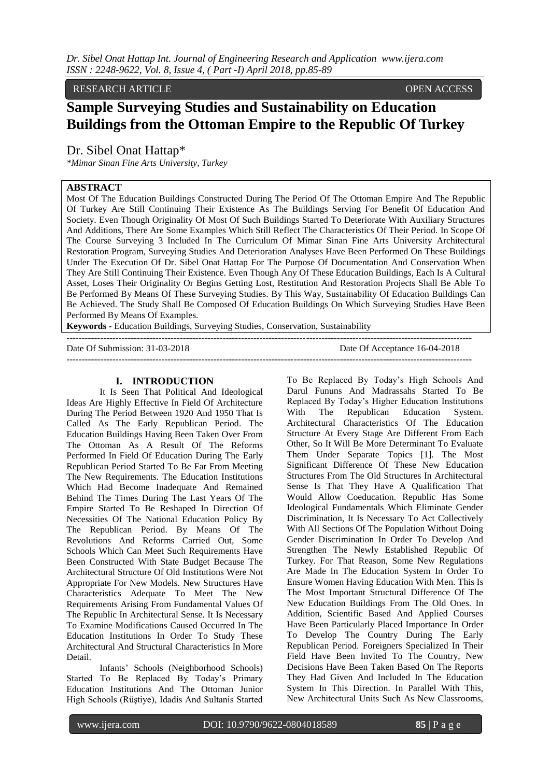RESEARCH ARTICLE OPEN ACCESS

# **Sample Surveying Studies and Sustainability on Education Buildings from the Ottoman Empire to the Republic Of Turkey**

Dr. Sibel Onat Hattap\*

*\*Mimar Sinan Fine Arts University, Turkey*

## **ABSTRACT**

Most Of The Education Buildings Constructed During The Period Of The Ottoman Empire And The Republic Of Turkey Are Still Continuing Their Existence As The Buildings Serving For Benefit Of Education And Society. Even Though Originality Of Most Of Such Buildings Started To Deteriorate With Auxiliary Structures And Additions, There Are Some Examples Which Still Reflect The Characteristics Of Their Period. In Scope Of The Course Surveying 3 Included In The Curriculum Of Mimar Sinan Fine Arts University Architectural Restoration Program, Surveying Studies And Deterioration Analyses Have Been Performed On These Buildings Under The Execution Of Dr. Sibel Onat Hattap For The Purpose Of Documentation And Conservation When They Are Still Continuing Their Existence. Even Though Any Of These Education Buildings, Each Is A Cultural Asset, Loses Their Originality Or Begins Getting Lost, Restitution And Restoration Projects Shall Be Able To Be Performed By Means Of These Surveying Studies. By This Way, Sustainability Of Education Buildings Can Be Achieved. The Study Shall Be Composed Of Education Buildings On Which Surveying Studies Have Been Performed By Means Of Examples.

------------------------------------------------------------------------------------------------------------------------------------

------------------------------------------------------------------------------------------------------------------------------------

**Keywords -** Education Buildings, Surveying Studies, Conservation, Sustainability

Date Of Submission: 31-03-2018 Date Of Acceptance 16-04-2018

## **I. INTRODUCTION**

It Is Seen That Political And Ideological Ideas Are Highly Effective In Field Of Architecture During The Period Between 1920 And 1950 That Is Called As The Early Republican Period. The Education Buildings Having Been Taken Over From The Ottoman As A Result Of The Reforms Performed In Field Of Education During The Early Republican Period Started To Be Far From Meeting The New Requirements. The Education Institutions Which Had Become Inadequate And Remained Behind The Times During The Last Years Of The Empire Started To Be Reshaped In Direction Of Necessities Of The National Education Policy By The Republican Period. By Means Of The Revolutions And Reforms Carried Out, Some Schools Which Can Meet Such Requirements Have Been Constructed With State Budget Because The Architectural Structure Of Old Institutions Were Not Appropriate For New Models. New Structures Have Characteristics Adequate To Meet The New Requirements Arising From Fundamental Values Of The Republic In Architectural Sense. It Is Necessary To Examine Modifications Caused Occurred In The Education Institutions In Order To Study These Architectural And Structural Characteristics In More Detail.

Infants' Schools (Neighborhood Schools) Started To Be Replaced By Today's Primary Education Institutions And The Ottoman Junior High Schools (Rüştiye), Idadis And Sultanis Started To Be Replaced By Today's High Schools And Darul Fununs And Madrassahs Started To Be Replaced By Today's Higher Education Institutions With The Republican Education System. Architectural Characteristics Of The Education Structure At Every Stage Are Different From Each Other, So It Will Be More Determinant To Evaluate Them Under Separate Topics [1]. The Most Significant Difference Of These New Education Structures From The Old Structures In Architectural Sense Is That They Have A Qualification That Would Allow Coeducation. Republic Has Some Ideological Fundamentals Which Eliminate Gender Discrimination, It Is Necessary To Act Collectively With All Sections Of The Population Without Doing Gender Discrimination In Order To Develop And Strengthen The Newly Established Republic Of Turkey. For That Reason, Some New Regulations Are Made In The Education System In Order To Ensure Women Having Education With Men. This Is The Most Important Structural Difference Of The New Education Buildings From The Old Ones. In Addition, Scientific Based And Applied Courses Have Been Particularly Placed Importance In Order To Develop The Country During The Early Republican Period. Foreigners Specialized In Their Field Have Been Invited To The Country, New Decisions Have Been Taken Based On The Reports They Had Given And Included In The Education System In This Direction. In Parallel With This, New Architectural Units Such As New Classrooms,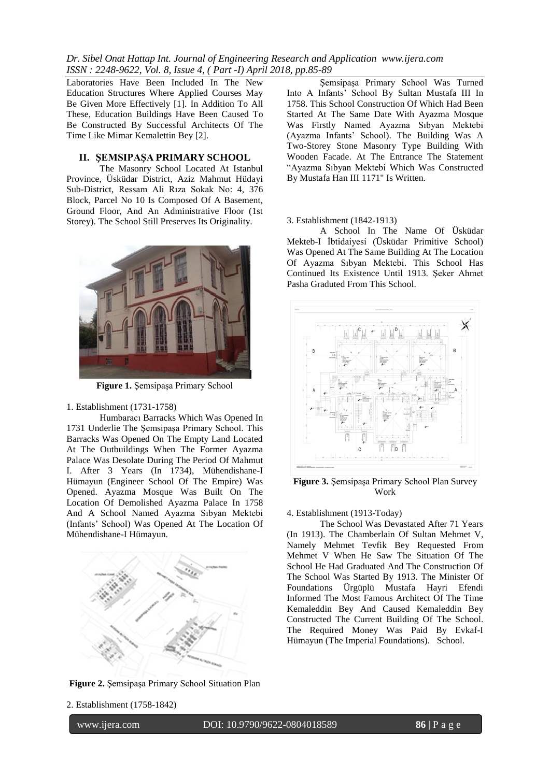Laboratories Have Been Included In The New Education Structures Where Applied Courses May Be Given More Effectively [1]. In Addition To All These, Education Buildings Have Been Caused To Be Constructed By Successful Architects Of The Time Like Mimar Kemalettin Bey [2].

## **II. ŞEMSIPAŞA PRIMARY SCHOOL**

The Masonry School Located At Istanbul Province, Üsküdar District, Aziz Mahmut Hüdayi Sub-District, Ressam Ali Rıza Sokak No: 4, 376 Block, Parcel No 10 Is Composed Of A Basement, Ground Floor, And An Administrative Floor (1st Storey). The School Still Preserves Its Originality.



**Figure 1.** Şemsipaşa Primary School

#### 1. Establishment (1731-1758)

Humbaracı Barracks Which Was Opened In 1731 Underlie The Şemsipaşa Primary School. This Barracks Was Opened On The Empty Land Located At The Outbuildings When The Former Ayazma Palace Was Desolate During The Period Of Mahmut I. After 3 Years (In 1734), Mühendishane-I Hümayun (Engineer School Of The Empire) Was Opened. Ayazma Mosque Was Built On The Location Of Demolished Ayazma Palace In 1758 And A School Named Ayazma Sıbyan Mektebi (Infants' School) Was Opened At The Location Of Mühendishane-I Hümayun.



**Figure 2.** Şemsipaşa Primary School Situation Plan

Şemsipaşa Primary School Was Turned Into A Infants' School By Sultan Mustafa III In 1758. This School Construction Of Which Had Been Started At The Same Date With Ayazma Mosque Was Firstly Named Ayazma Sıbyan Mektebi (Ayazma Infants' School). The Building Was A Two-Storey Stone Masonry Type Building With Wooden Facade. At The Entrance The Statement "Ayazma Sıbyan Mektebi Which Was Constructed By Mustafa Han III 1171" Is Written.

## 3. Establishment (1842-1913)

A School In The Name Of Üsküdar Mekteb-I İbtidaiyesi (Üsküdar Primitive School) Was Opened At The Same Building At The Location Of Ayazma Sıbyan Mektebi. This School Has Continued Its Existence Until 1913. Şeker Ahmet Pasha Graduted From This School.



**Figure 3.** Şemsipaşa Primary School Plan Survey Work

## 4. Establishment (1913-Today)

The School Was Devastated After 71 Years (In 1913). The Chamberlain Of Sultan Mehmet V, Namely Mehmet Tevfik Bey Requested From Mehmet V When He Saw The Situation Of The School He Had Graduated And The Construction Of The School Was Started By 1913. The Minister Of Foundations Ürgüplü Mustafa Hayri Efendi Informed The Most Famous Architect Of The Time Kemaleddin Bey And Caused Kemaleddin Bey Constructed The Current Building Of The School. The Required Money Was Paid By Evkaf-I Hümayun (The Imperial Foundations). School.

2. Establishment (1758-1842)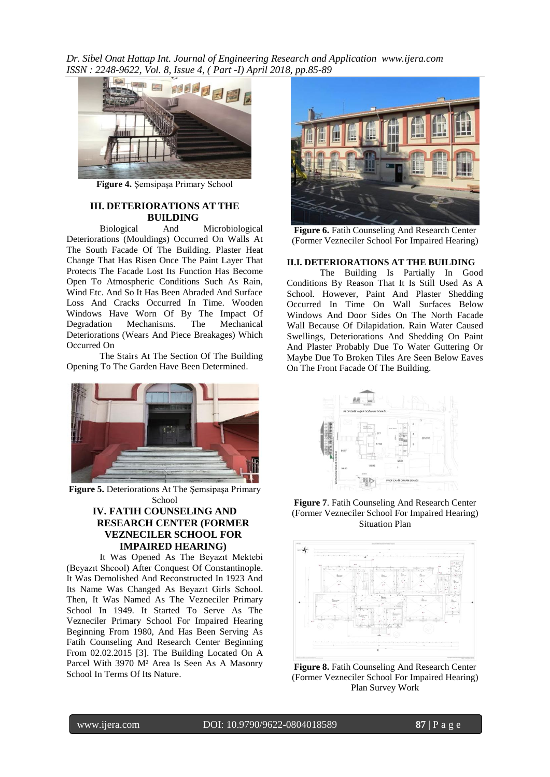

**Figure 4.** Şemsipaşa Primary School

## **III. DETERIORATIONS AT THE BUILDING**

Biological And Microbiological Deteriorations (Mouldings) Occurred On Walls At The South Facade Of The Building. Plaster Heat Change That Has Risen Once The Paint Layer That Protects The Facade Lost Its Function Has Become Open To Atmospheric Conditions Such As Rain, Wind Etc. And So It Has Been Abraded And Surface Loss And Cracks Occurred In Time. Wooden Windows Have Worn Of By The Impact Of Degradation Mechanisms. The Mechanical Deteriorations (Wears And Piece Breakages) Which Occurred On

The Stairs At The Section Of The Building Opening To The Garden Have Been Determined.



**Figure 5.** Deteriorations At The Şemsipaşa Primary School

## **IV. FATIH COUNSELING AND RESEARCH CENTER (FORMER VEZNECILER SCHOOL FOR IMPAIRED HEARING)**

It Was Opened As The Beyazıt Mektebi (Beyazıt Shcool) After Conquest Of Constantinople. It Was Demolished And Reconstructed In 1923 And Its Name Was Changed As Beyazıt Girls School. Then, It Was Named As The Vezneciler Primary School In 1949. It Started To Serve As The Vezneciler Primary School For Impaired Hearing Beginning From 1980, And Has Been Serving As Fatih Counseling And Research Center Beginning From 02.02.2015 [3]. The Building Located On A Parcel With 3970 M² Area Is Seen As A Masonry School In Terms Of Its Nature.



**Figure 6.** Fatih Counseling And Research Center (Former Vezneciler School For Impaired Hearing)

## **II.I. DETERIORATIONS AT THE BUILDING**

The Building Is Partially In Good Conditions By Reason That It Is Still Used As A School. However, Paint And Plaster Shedding Occurred In Time On Wall Surfaces Below Windows And Door Sides On The North Facade Wall Because Of Dilapidation. Rain Water Caused Swellings, Deteriorations And Shedding On Paint And Plaster Probably Due To Water Guttering Or Maybe Due To Broken Tiles Are Seen Below Eaves On The Front Facade Of The Building.



**Figure 7**. Fatih Counseling And Research Center (Former Vezneciler School For Impaired Hearing) Situation Plan



**Figure 8.** Fatih Counseling And Research Center (Former Vezneciler School For Impaired Hearing) Plan Survey Work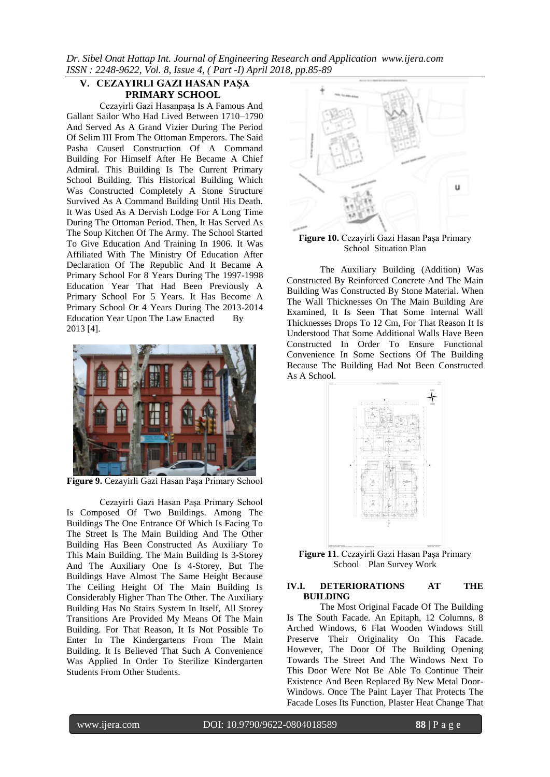## **V. CEZAYIRLI GAZI HASAN PAŞA PRIMARY SCHOOL**

Cezayirli Gazi Hasanpaşa Is A Famous And Gallant Sailor Who Had Lived Between 1710–1790 And Served As A Grand Vizier During The Period Of Selim III From The Ottoman Emperors. The Said Pasha Caused Construction Of A Command Building For Himself After He Became A Chief Admiral. This Building Is The Current Primary School Building. This Historical Building Which Was Constructed Completely A Stone Structure Survived As A Command Building Until His Death. It Was Used As A Dervish Lodge For A Long Time During The Ottoman Period. Then, It Has Served As The Soup Kitchen Of The Army. The School Started To Give Education And Training In 1906. It Was Affiliated With The Ministry Of Education After Declaration Of The Republic And It Became A Primary School For 8 Years During The 1997-1998 Education Year That Had Been Previously A Primary School For 5 Years. It Has Become A Primary School Or 4 Years During The 2013-2014 Education Year Upon The Law Enacted By 2013 [4].



**Figure 9.** Cezayirli Gazi Hasan Paşa Primary School

Cezayirli Gazi Hasan Paşa Primary School Is Composed Of Two Buildings. Among The Buildings The One Entrance Of Which Is Facing To The Street Is The Main Building And The Other Building Has Been Constructed As Auxiliary To This Main Building. The Main Building Is 3-Storey And The Auxiliary One Is 4-Storey, But The Buildings Have Almost The Same Height Because The Ceiling Height Of The Main Building Is Considerably Higher Than The Other. The Auxiliary Building Has No Stairs System In Itself, All Storey Transitions Are Provided My Means Of The Main Building. For That Reason, It Is Not Possible To Enter In The Kindergartens From The Main Building. It Is Believed That Such A Convenience Was Applied In Order To Sterilize Kindergarten Students From Other Students.



**Figure 10.** Cezayirli Gazi Hasan Paşa Primary School Situation Plan

The Auxiliary Building (Addition) Was Constructed By Reinforced Concrete And The Main Building Was Constructed By Stone Material. When The Wall Thicknesses On The Main Building Are Examined, It Is Seen That Some Internal Wall Thicknesses Drops To 12 Cm, For That Reason It Is Understood That Some Additional Walls Have Been Constructed In Order To Ensure Functional Convenience In Some Sections Of The Building Because The Building Had Not Been Constructed As A School.



**Figure 11**. Cezayirli Gazi Hasan Paşa Primary School Plan Survey Work

### **IV.I. DETERIORATIONS AT THE BUILDING**

The Most Original Facade Of The Building Is The South Facade. An Epitaph, 12 Columns, 8 Arched Windows, 6 Flat Wooden Windows Still Preserve Their Originality On This Facade. However, The Door Of The Building Opening Towards The Street And The Windows Next To This Door Were Not Be Able To Continue Their Existence And Been Replaced By New Metal Door-Windows. Once The Paint Layer That Protects The Facade Loses Its Function, Plaster Heat Change That